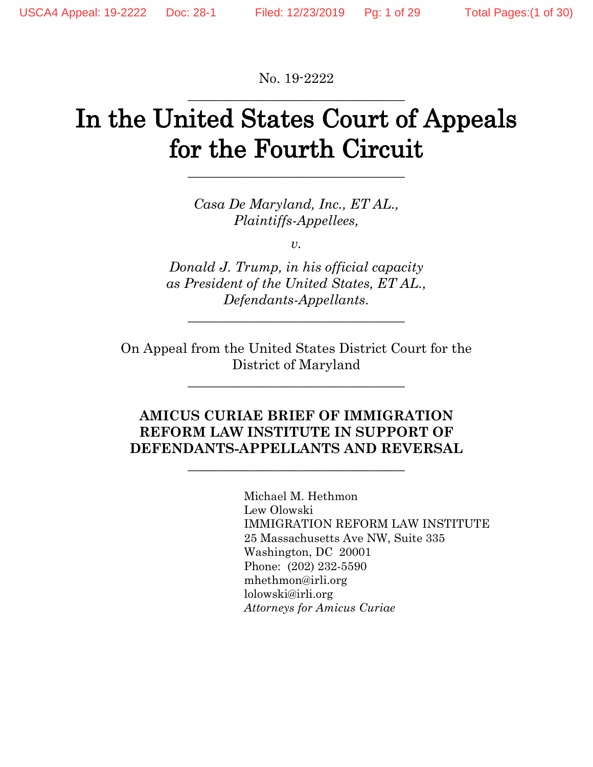No. 19-2222 \_\_\_\_\_\_\_\_\_\_\_\_\_\_\_\_\_\_\_\_\_\_\_\_\_\_\_\_\_\_\_\_

# In the United States Court of Appeals for the Fourth Circuit

\_\_\_\_\_\_\_\_\_\_\_\_\_\_\_\_\_\_\_\_\_\_\_\_\_\_\_\_\_\_\_\_

*Casa De Maryland, Inc., ET AL., Plaintiffs-Appellees,*

*v.*

*Donald J. Trump, in his official capacity as President of the United States, ET AL., Defendants-Appellants.*

\_\_\_\_\_\_\_\_\_\_\_\_\_\_\_\_\_\_\_\_\_\_\_\_\_\_\_\_\_\_\_\_

On Appeal from the United States District Court for the District of Maryland

\_\_\_\_\_\_\_\_\_\_\_\_\_\_\_\_\_\_\_\_\_\_\_\_\_\_\_\_\_\_\_\_

# **AMICUS CURIAE BRIEF OF IMMIGRATION REFORM LAW INSTITUTE IN SUPPORT OF DEFENDANTS-APPELLANTS AND REVERSAL**

\_\_\_\_\_\_\_\_\_\_\_\_\_\_\_\_\_\_\_\_\_\_\_\_\_\_\_\_\_\_\_\_

Michael M. Hethmon Lew Olowski IMMIGRATION REFORM LAW INSTITUTE 25 Massachusetts Ave NW, Suite 335 Washington, DC 20001 Phone: (202) 232-5590 mhethmon@irli.org lolowski@irli.org *Attorneys for Amicus Curiae*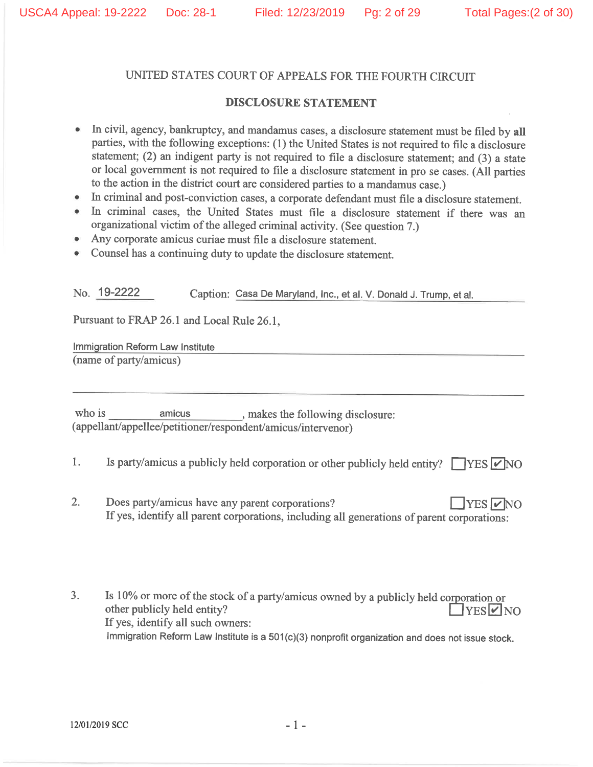#### UNITED STATES COURT OF APPEALS FOR THE FOURTH CIRCUIT

#### **DISCLOSURE STATEMENT**

- In civil, agency, bankruptcy, and mandamus cases, a disclosure statement must be filed by all  $\hat{\mathbf{e}}$ parties, with the following exceptions: (1) the United States is not required to file a disclosure statement; (2) an indigent party is not required to file a disclosure statement; and  $(3)$  a state or local government is not required to file a disclosure statement in pro se cases. (All parties to the action in the district court are considered parties to a mandamus case.)
- In criminal and post-conviction cases, a corporate defendant must file a disclosure statement.
- In criminal cases, the United States must file a disclosure statement if there was an organizational victim of the alleged criminal activity. (See question 7.)
- Any corporate amicus curiae must file a disclosure statement.
- Counsel has a continuing duty to update the disclosure statement.  $\bullet$

No. 19-2222 Caption: Casa De Maryland, Inc., et al. V. Donald J. Trump. et al.

Pursuant to FRAP 26.1 and Local Rule 26.1,

Immigration Reform Law Institute (name of party/amicus)

who is amicus , makes the following disclosure: (appellant/appellee/petitioner/respondent/amicus/intervenor)

- $\mathbb{1}$ . Is party/amicus a publicly held corporation or other publicly held entity?  $\Box$  YES  $\Box$  NO
- $\overline{2}$ . Does party/amicus have any parent corporations?  $TES$   $\triangledown$  NO If yes, identify all parent corporations, including all generations of parent corporations:

Is 10% or more of the stock of a party/amicus owned by a publicly held corporation or  $3<sub>1</sub>$ other publicly held entity?  $YESVNO$ If yes, identify all such owners: Immigration Reform Law Institute is a 501(c)(3) nonprofit organization and does not issue stock.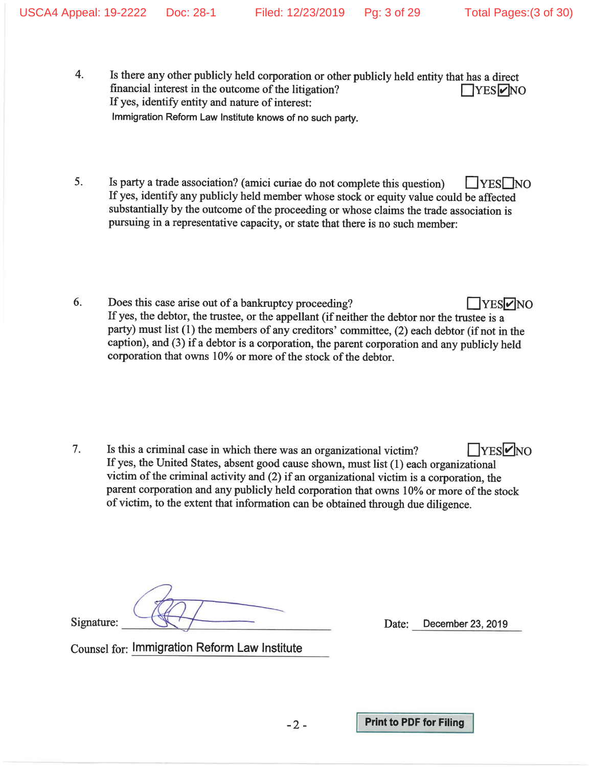- 4. Is there any other publicly held corporation or other publicly held entity that has a direct financial interest in the outcome of the litigation?  $\Box$ YES $\nu$ NO If yes, identify entity and nature of interest: Immigration Reform Law Institute knows of no such party.
- 5. Is party a trade association? (amici curiae do not complete this question)  $|$   $|YES|$  NO If yes, identify any publicly held member whose stock or equity value could be affected substantially by the outcome of the proceeding or whose claims the trade association is pursuing in a representative capacity, or state that there is no such member:
- 6. Does this case arise out of a bankruptcy proceeding? **TYES** NO If yes, the debtor, the trustee, or the appellant (if neither the debtor nor the trustee is a party) must list (1) the members of any creditors' committee, (2) each debtor (if not in the caption), and (3) if a debtor is a corporation, the parent corporation and any publicly held corporation that owns 10% or more of the stock of the debtor.

7.  $\Box$ YES $\negthickspace \heartsuit$ NO Is this a criminal case in which there was an organizational victim? If yes, the United States, absent good cause shown, must list (1) each organizational victim of the criminal activity and (2) if an organizational victim is a corporation, the parent corporation and any publicly held corporation that owns 10% or more of the stock of victim, to the extent that information can be obtained through due diligence.

 $-2-$ 

Signature:

December 23, 2019 Date:

**Counsel for: Immigration Reform Law Institute** 

**Print to PDF for Filing**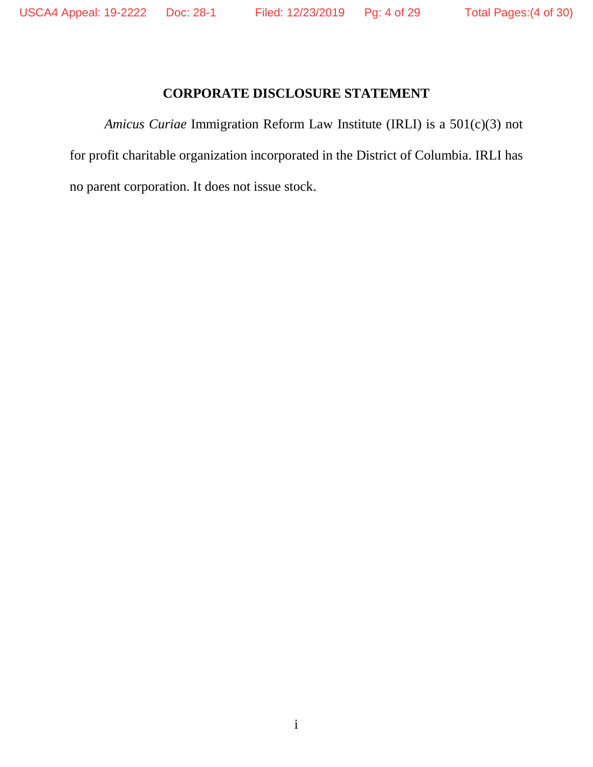# **CORPORATE DISCLOSURE STATEMENT**

*Amicus Curiae* Immigration Reform Law Institute (IRLI) is a 501(c)(3) not for profit charitable organization incorporated in the District of Columbia. IRLI has no parent corporation. It does not issue stock.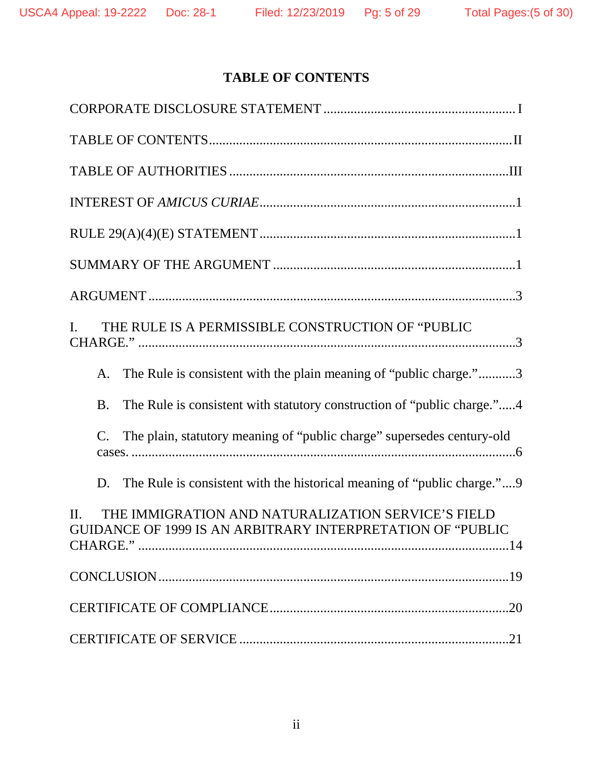# **TABLE OF CONTENTS**

| THE RULE IS A PERMISSIBLE CONSTRUCTION OF "PUBLIC<br>L                                                                      |
|-----------------------------------------------------------------------------------------------------------------------------|
| The Rule is consistent with the plain meaning of "public charge."3<br>A.                                                    |
| The Rule is consistent with statutory construction of "public charge."4<br><b>B.</b>                                        |
| The plain, statutory meaning of "public charge" supersedes century-old<br>$\mathbf{C}$ .                                    |
| The Rule is consistent with the historical meaning of "public charge."9<br>D.                                               |
| THE IMMIGRATION AND NATURALIZATION SERVICE'S FIELD<br>$\Pi$ .<br>GUIDANCE OF 1999 IS AN ARBITRARY INTERPRETATION OF "PUBLIC |
|                                                                                                                             |
|                                                                                                                             |
|                                                                                                                             |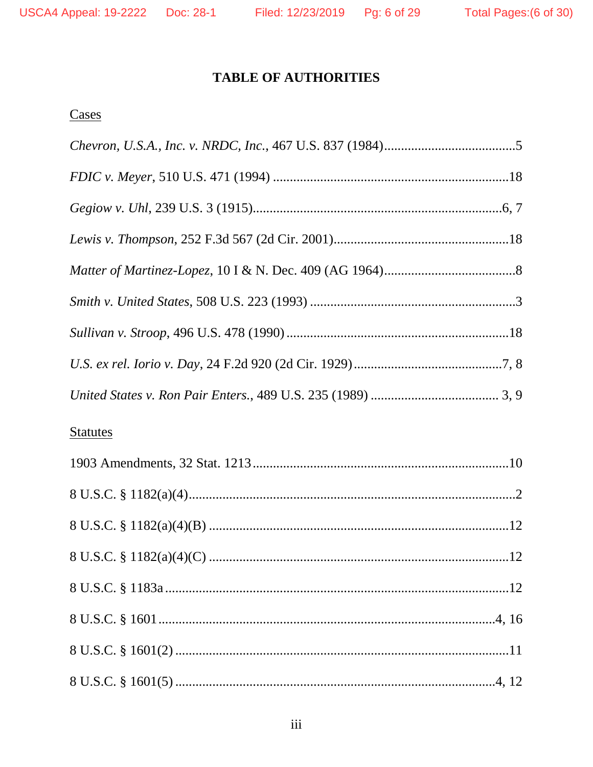# **TABLE OF AUTHORITIES**

# Cases

| <b>Statutes</b> |
|-----------------|
|                 |
|                 |
|                 |
|                 |
|                 |
|                 |
|                 |
|                 |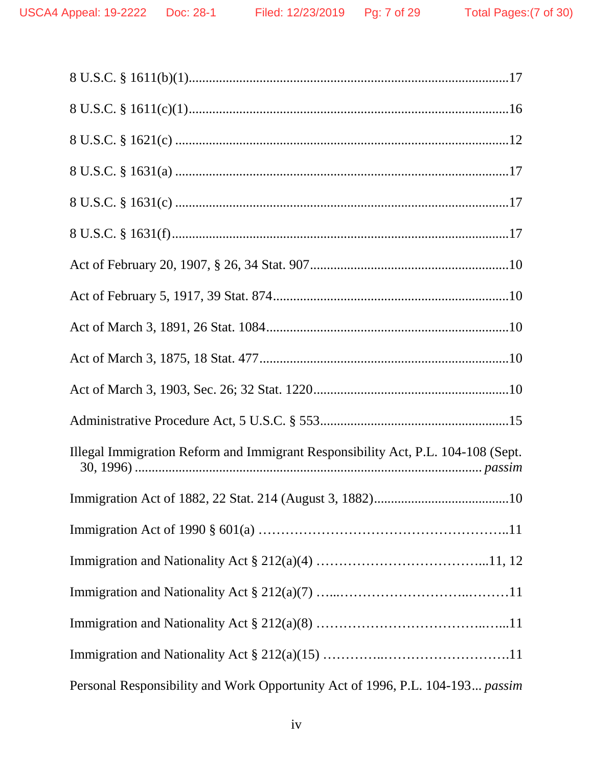| Illegal Immigration Reform and Immigrant Responsibility Act, P.L. 104-108 (Sept. |
|----------------------------------------------------------------------------------|
|                                                                                  |
|                                                                                  |
|                                                                                  |
|                                                                                  |
|                                                                                  |
|                                                                                  |
| Personal Responsibility and Work Opportunity Act of 1996, P.L. 104-193 passim    |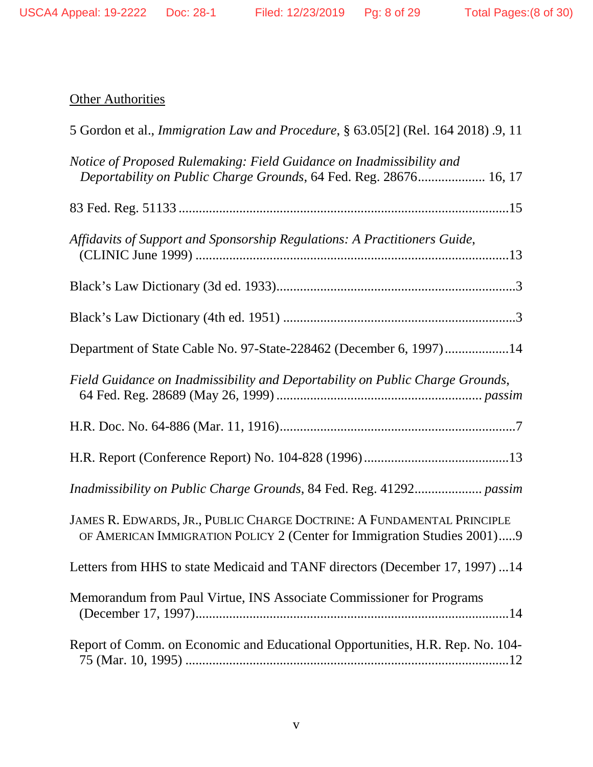# **Other Authorities**

| 5 Gordon et al., <i>Immigration Law and Procedure</i> , § 63.05[2] (Rel. 164 2018) .9, 11                                                         |
|---------------------------------------------------------------------------------------------------------------------------------------------------|
| Notice of Proposed Rulemaking: Field Guidance on Inadmissibility and<br>Deportability on Public Charge Grounds, 64 Fed. Reg. 28676 16, 17         |
|                                                                                                                                                   |
| Affidavits of Support and Sponsorship Regulations: A Practitioners Guide,                                                                         |
|                                                                                                                                                   |
|                                                                                                                                                   |
| Department of State Cable No. 97-State-228462 (December 6, 1997)14                                                                                |
| Field Guidance on Inadmissibility and Deportability on Public Charge Grounds,                                                                     |
|                                                                                                                                                   |
|                                                                                                                                                   |
| Inadmissibility on Public Charge Grounds, 84 Fed. Reg. 41292 passim                                                                               |
| JAMES R. EDWARDS, JR., PUBLIC CHARGE DOCTRINE: A FUNDAMENTAL PRINCIPLE<br>OF AMERICAN IMMIGRATION POLICY 2 (Center for Immigration Studies 2001)9 |
| Letters from HHS to state Medicaid and TANF directors (December 17, 1997) 14                                                                      |
| Memorandum from Paul Virtue, INS Associate Commissioner for Programs                                                                              |
| Report of Comm. on Economic and Educational Opportunities, H.R. Rep. No. 104-                                                                     |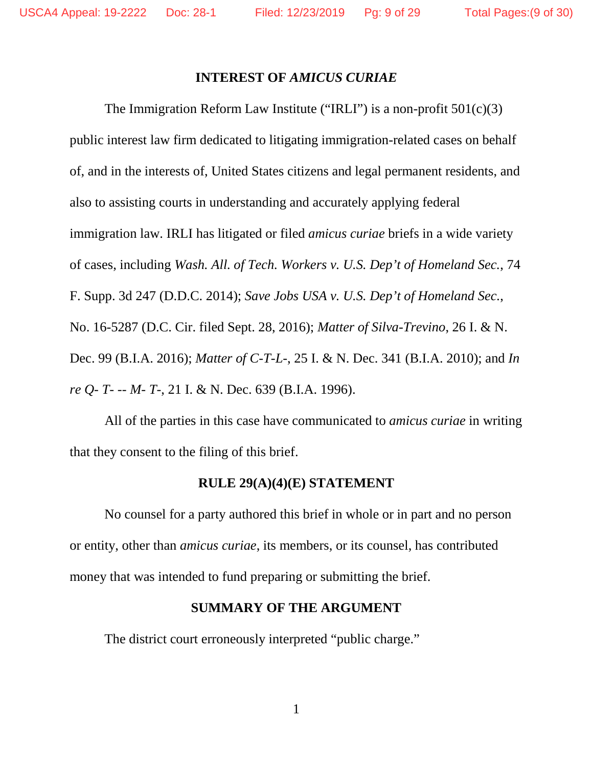#### **INTEREST OF** *AMICUS CURIAE*

The Immigration Reform Law Institute ("IRLI") is a non-profit  $501(c)(3)$ public interest law firm dedicated to litigating immigration-related cases on behalf of, and in the interests of, United States citizens and legal permanent residents, and also to assisting courts in understanding and accurately applying federal immigration law. IRLI has litigated or filed *amicus curiae* briefs in a wide variety of cases, including *Wash. All. of Tech. Workers v. U.S. Dep't of Homeland Sec.*, 74 F. Supp. 3d 247 (D.D.C. 2014); *Save Jobs USA v. U.S. Dep't of Homeland Sec.*, No. 16-5287 (D.C. Cir. filed Sept. 28, 2016); *Matter of Silva-Trevino*, 26 I. & N. Dec. 99 (B.I.A. 2016); *Matter of C-T-L-*, 25 I. & N. Dec. 341 (B.I.A. 2010); and *In re Q- T- -- M- T-*, 21 I. & N. Dec. 639 (B.I.A. 1996).

All of the parties in this case have communicated to *amicus curiae* in writing that they consent to the filing of this brief.

#### **RULE 29(A)(4)(E) STATEMENT**

No counsel for a party authored this brief in whole or in part and no person or entity, other than *amicus curiae*, its members, or its counsel, has contributed money that was intended to fund preparing or submitting the brief.

#### **SUMMARY OF THE ARGUMENT**

The district court erroneously interpreted "public charge."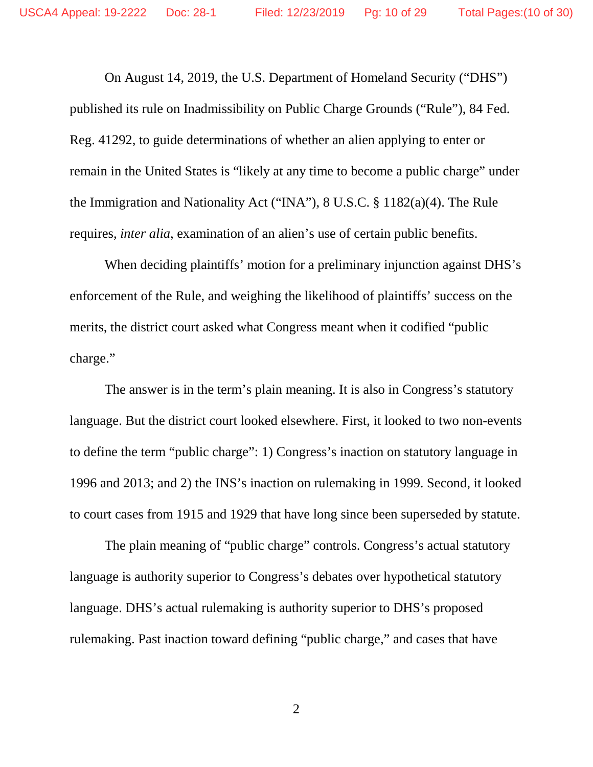On August 14, 2019, the U.S. Department of Homeland Security ("DHS") published its rule on Inadmissibility on Public Charge Grounds ("Rule"), 84 Fed. Reg. 41292, to guide determinations of whether an alien applying to enter or remain in the United States is "likely at any time to become a public charge" under the Immigration and Nationality Act ("INA"), 8 U.S.C. § 1182(a)(4). The Rule requires, *inter alia*, examination of an alien's use of certain public benefits.

When deciding plaintiffs' motion for a preliminary injunction against DHS's enforcement of the Rule, and weighing the likelihood of plaintiffs' success on the merits, the district court asked what Congress meant when it codified "public charge."

The answer is in the term's plain meaning. It is also in Congress's statutory language. But the district court looked elsewhere. First, it looked to two non-events to define the term "public charge": 1) Congress's inaction on statutory language in 1996 and 2013; and 2) the INS's inaction on rulemaking in 1999. Second, it looked to court cases from 1915 and 1929 that have long since been superseded by statute.

The plain meaning of "public charge" controls. Congress's actual statutory language is authority superior to Congress's debates over hypothetical statutory language. DHS's actual rulemaking is authority superior to DHS's proposed rulemaking. Past inaction toward defining "public charge," and cases that have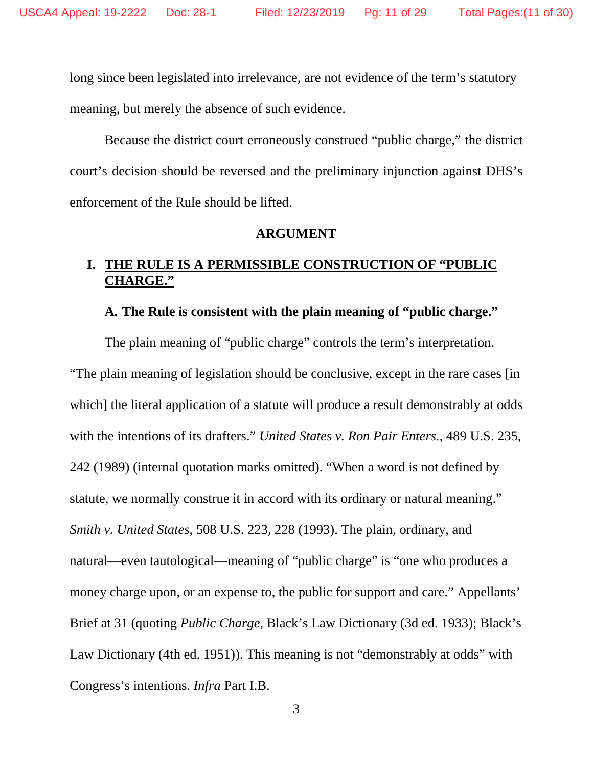long since been legislated into irrelevance, are not evidence of the term's statutory meaning, but merely the absence of such evidence.

Because the district court erroneously construed "public charge," the district court's decision should be reversed and the preliminary injunction against DHS's enforcement of the Rule should be lifted.

#### **ARGUMENT**

#### **I. THE RULE IS A PERMISSIBLE CONSTRUCTION OF "PUBLIC CHARGE."**

#### **A. The Rule is consistent with the plain meaning of "public charge."**

The plain meaning of "public charge" controls the term's interpretation. "The plain meaning of legislation should be conclusive, except in the rare cases [in which] the literal application of a statute will produce a result demonstrably at odds with the intentions of its drafters." *United States v. Ron Pair Enters.*, 489 U.S. 235, 242 (1989) (internal quotation marks omitted). "When a word is not defined by statute, we normally construe it in accord with its ordinary or natural meaning." *Smith v. United States*, 508 U.S. 223, 228 (1993). The plain, ordinary, and natural—even tautological—meaning of "public charge" is "one who produces a money charge upon, or an expense to, the public for support and care." Appellants' Brief at 31 (quoting *Public Charge*, Black's Law Dictionary (3d ed. 1933); Black's Law Dictionary (4th ed. 1951)). This meaning is not "demonstrably at odds" with Congress's intentions. *Infra* Part I.B.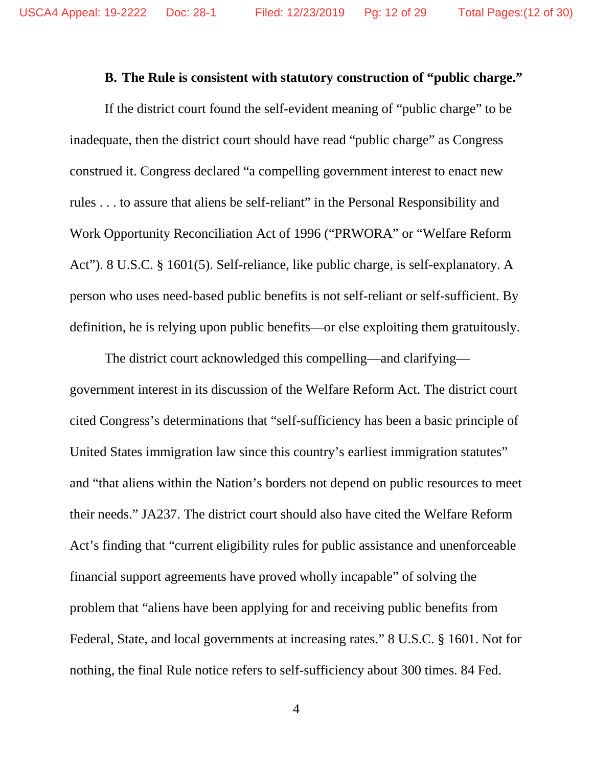#### **B. The Rule is consistent with statutory construction of "public charge."**

If the district court found the self-evident meaning of "public charge" to be inadequate, then the district court should have read "public charge" as Congress construed it. Congress declared "a compelling government interest to enact new rules . . . to assure that aliens be self-reliant" in the Personal Responsibility and Work Opportunity Reconciliation Act of 1996 ("PRWORA" or "Welfare Reform Act"). 8 U.S.C. § 1601(5). Self-reliance, like public charge, is self-explanatory. A person who uses need-based public benefits is not self-reliant or self-sufficient. By definition, he is relying upon public benefits—or else exploiting them gratuitously.

The district court acknowledged this compelling—and clarifying government interest in its discussion of the Welfare Reform Act. The district court cited Congress's determinations that "self-sufficiency has been a basic principle of United States immigration law since this country's earliest immigration statutes" and "that aliens within the Nation's borders not depend on public resources to meet their needs." JA237. The district court should also have cited the Welfare Reform Act's finding that "current eligibility rules for public assistance and unenforceable financial support agreements have proved wholly incapable" of solving the problem that "aliens have been applying for and receiving public benefits from Federal, State, and local governments at increasing rates." 8 U.S.C. § 1601. Not for nothing, the final Rule notice refers to self-sufficiency about 300 times. 84 Fed.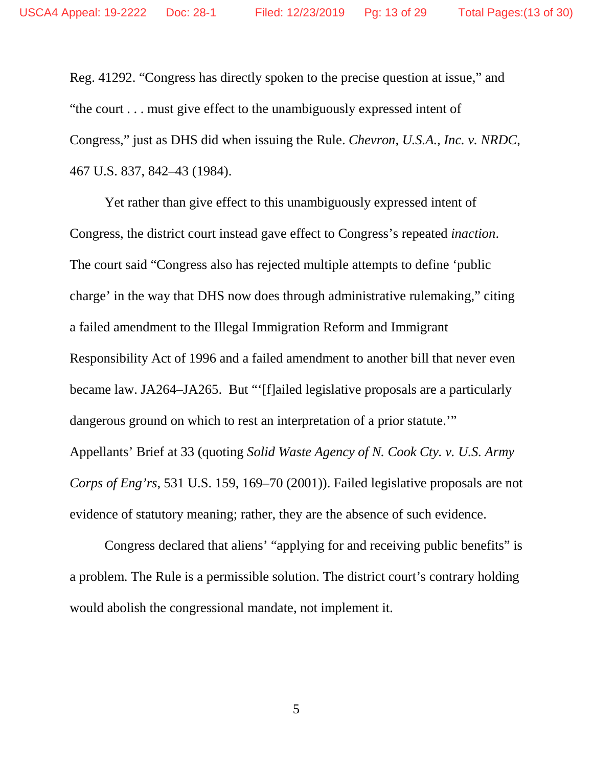Reg. 41292. "Congress has directly spoken to the precise question at issue," and "the court . . . must give effect to the unambiguously expressed intent of Congress," just as DHS did when issuing the Rule. *Chevron, U.S.A., Inc. v. NRDC*, 467 U.S. 837, 842–43 (1984).

Yet rather than give effect to this unambiguously expressed intent of Congress, the district court instead gave effect to Congress's repeated *inaction*. The court said "Congress also has rejected multiple attempts to define 'public charge' in the way that DHS now does through administrative rulemaking," citing a failed amendment to the Illegal Immigration Reform and Immigrant Responsibility Act of 1996 and a failed amendment to another bill that never even became law. JA264–JA265. But "'[f]ailed legislative proposals are a particularly dangerous ground on which to rest an interpretation of a prior statute.'" Appellants' Brief at 33 (quoting *Solid Waste Agency of N. Cook Cty. v. U.S. Army Corps of Eng'rs*, 531 U.S. 159, 169–70 (2001)). Failed legislative proposals are not evidence of statutory meaning; rather, they are the absence of such evidence.

Congress declared that aliens' "applying for and receiving public benefits" is a problem. The Rule is a permissible solution. The district court's contrary holding would abolish the congressional mandate, not implement it.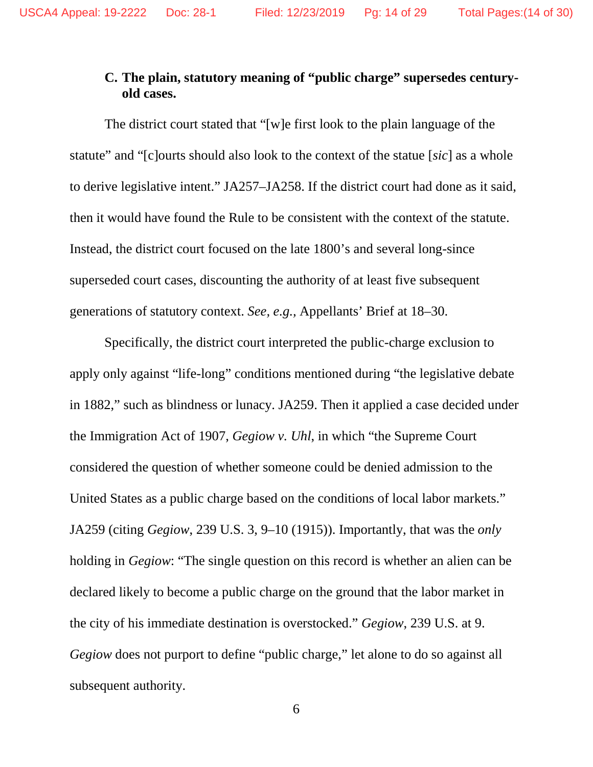## **C. The plain, statutory meaning of "public charge" supersedes centuryold cases.**

The district court stated that "[w]e first look to the plain language of the statute" and "[c]ourts should also look to the context of the statue [*sic*] as a whole to derive legislative intent." JA257–JA258. If the district court had done as it said, then it would have found the Rule to be consistent with the context of the statute. Instead, the district court focused on the late 1800's and several long-since superseded court cases, discounting the authority of at least five subsequent generations of statutory context. *See, e.g.,* Appellants' Brief at 18–30.

Specifically, the district court interpreted the public-charge exclusion to apply only against "life-long" conditions mentioned during "the legislative debate in 1882," such as blindness or lunacy. JA259. Then it applied a case decided under the Immigration Act of 1907, *Gegiow v. Uhl*, in which "the Supreme Court considered the question of whether someone could be denied admission to the United States as a public charge based on the conditions of local labor markets." JA259 (citing *Gegiow*, 239 U.S. 3, 9–10 (1915)). Importantly, that was the *only*  holding in *Gegiow*: "The single question on this record is whether an alien can be declared likely to become a public charge on the ground that the labor market in the city of his immediate destination is overstocked." *Gegiow*, 239 U.S. at 9. *Gegiow* does not purport to define "public charge," let alone to do so against all subsequent authority.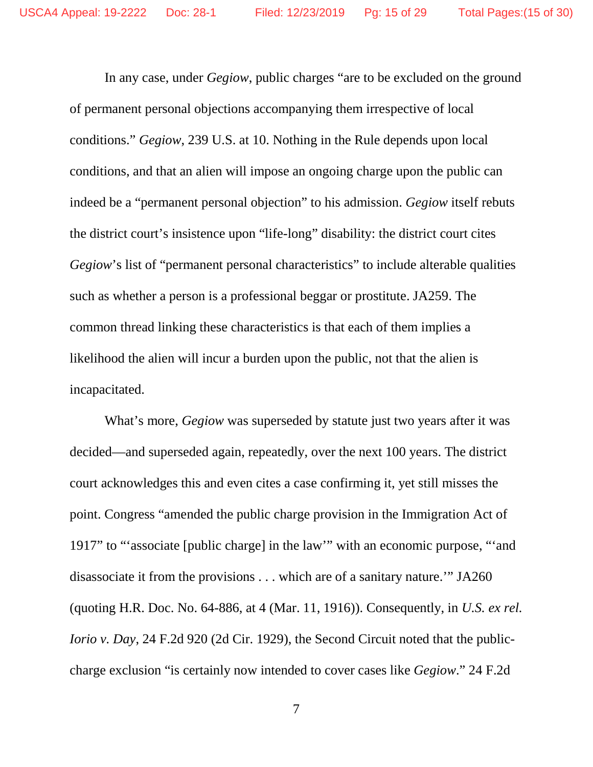In any case, under *Gegiow*, public charges "are to be excluded on the ground of permanent personal objections accompanying them irrespective of local conditions." *Gegiow*, 239 U.S. at 10. Nothing in the Rule depends upon local conditions, and that an alien will impose an ongoing charge upon the public can indeed be a "permanent personal objection" to his admission. *Gegiow* itself rebuts the district court's insistence upon "life-long" disability: the district court cites *Gegiow*'s list of "permanent personal characteristics" to include alterable qualities such as whether a person is a professional beggar or prostitute. JA259. The common thread linking these characteristics is that each of them implies a likelihood the alien will incur a burden upon the public, not that the alien is incapacitated.

What's more, *Gegiow* was superseded by statute just two years after it was decided—and superseded again, repeatedly, over the next 100 years. The district court acknowledges this and even cites a case confirming it, yet still misses the point. Congress "amended the public charge provision in the Immigration Act of 1917" to "'associate [public charge] in the law'" with an economic purpose, "'and disassociate it from the provisions . . . which are of a sanitary nature.'" JA260 (quoting H.R. Doc. No. 64-886, at 4 (Mar. 11, 1916)). Consequently, in *U.S. ex rel. Iorio v. Day*, 24 F.2d 920 (2d Cir. 1929), the Second Circuit noted that the publiccharge exclusion "is certainly now intended to cover cases like *Gegiow*." 24 F.2d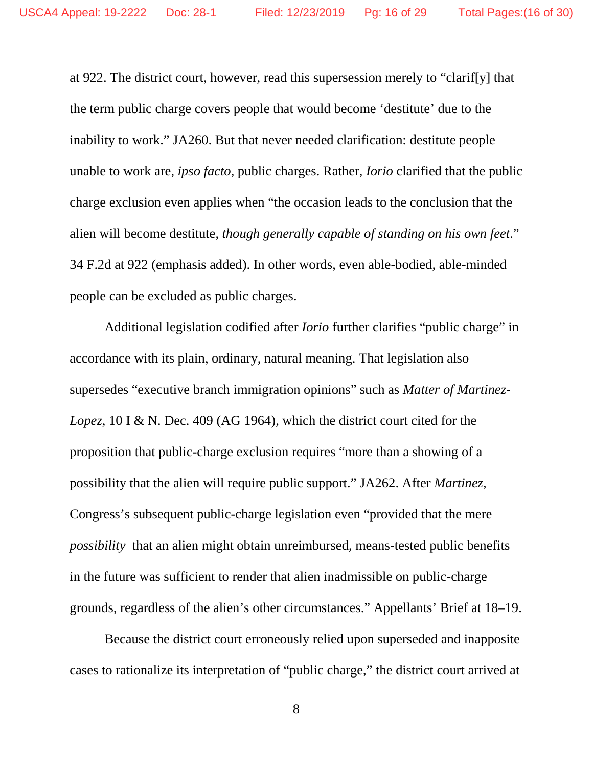at 922. The district court, however, read this supersession merely to "clarif[y] that the term public charge covers people that would become 'destitute' due to the inability to work." JA260. But that never needed clarification: destitute people unable to work are, *ipso facto*, public charges. Rather, *Iorio* clarified that the public charge exclusion even applies when "the occasion leads to the conclusion that the alien will become destitute, *though generally capable of standing on his own feet*." 34 F.2d at 922 (emphasis added). In other words, even able-bodied, able-minded people can be excluded as public charges.

Additional legislation codified after *Iorio* further clarifies "public charge" in accordance with its plain, ordinary, natural meaning. That legislation also supersedes "executive branch immigration opinions" such as *Matter of Martinez-Lopez*, 10 I & N. Dec. 409 (AG 1964), which the district court cited for the proposition that public-charge exclusion requires "more than a showing of a possibility that the alien will require public support." JA262. After *Martinez*, Congress's subsequent public-charge legislation even "provided that the mere *possibility* that an alien might obtain unreimbursed, means-tested public benefits in the future was sufficient to render that alien inadmissible on public-charge grounds, regardless of the alien's other circumstances." Appellants' Brief at 18–19.

Because the district court erroneously relied upon superseded and inapposite cases to rationalize its interpretation of "public charge," the district court arrived at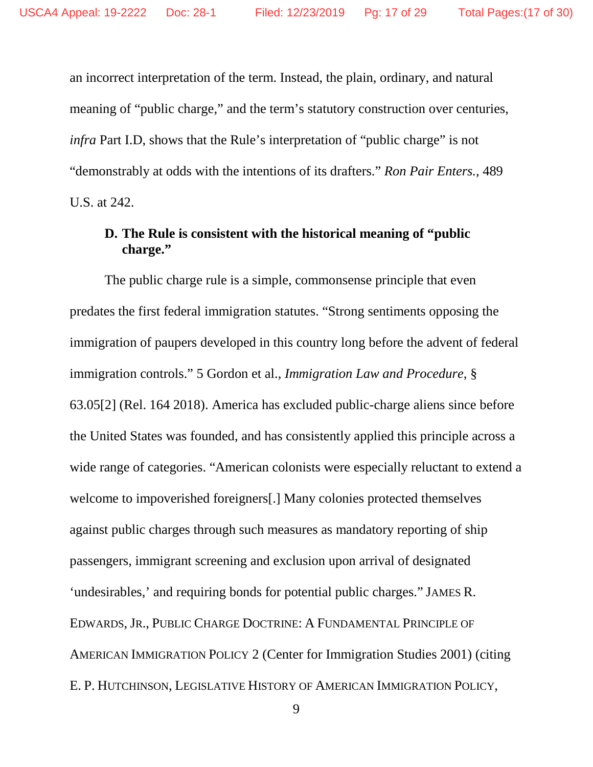an incorrect interpretation of the term. Instead, the plain, ordinary, and natural meaning of "public charge," and the term's statutory construction over centuries, *infra* Part I.D, shows that the Rule's interpretation of "public charge" is not "demonstrably at odds with the intentions of its drafters." *Ron Pair Enters.*, 489 U.S. at 242.

#### **D. The Rule is consistent with the historical meaning of "public charge."**

The public charge rule is a simple, commonsense principle that even predates the first federal immigration statutes. "Strong sentiments opposing the immigration of paupers developed in this country long before the advent of federal immigration controls." 5 Gordon et al., *Immigration Law and Procedure*, § 63.05[2] (Rel. 164 2018). America has excluded public-charge aliens since before the United States was founded, and has consistently applied this principle across a wide range of categories. "American colonists were especially reluctant to extend a welcome to impoverished foreigners[.] Many colonies protected themselves against public charges through such measures as mandatory reporting of ship passengers, immigrant screening and exclusion upon arrival of designated 'undesirables,' and requiring bonds for potential public charges." JAMES R. EDWARDS,JR., PUBLIC CHARGE DOCTRINE: A FUNDAMENTAL PRINCIPLE OF AMERICAN IMMIGRATION POLICY 2 (Center for Immigration Studies 2001) (citing E. P. HUTCHINSON, LEGISLATIVE HISTORY OF AMERICAN IMMIGRATION POLICY,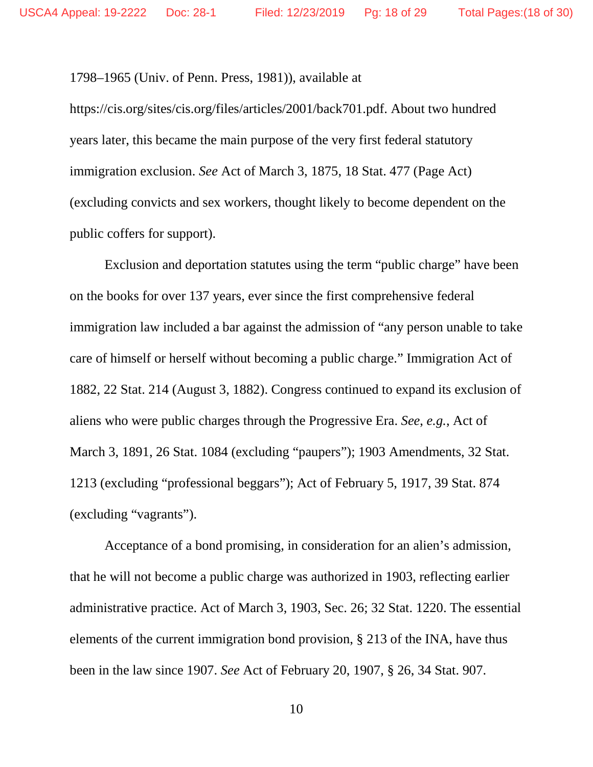1798–1965 (Univ. of Penn. Press, 1981)), available at

https://cis.org/sites/cis.org/files/articles/2001/back701.pdf. About two hundred years later, this became the main purpose of the very first federal statutory immigration exclusion. *See* Act of March 3, 1875, 18 Stat. 477 (Page Act) (excluding convicts and sex workers, thought likely to become dependent on the public coffers for support).

Exclusion and deportation statutes using the term "public charge" have been on the books for over 137 years, ever since the first comprehensive federal immigration law included a bar against the admission of "any person unable to take care of himself or herself without becoming a public charge." Immigration Act of 1882, 22 Stat. 214 (August 3, 1882). Congress continued to expand its exclusion of aliens who were public charges through the Progressive Era. *See*, *e.g.*, Act of March 3, 1891, 26 Stat. 1084 (excluding "paupers"); 1903 Amendments, 32 Stat. 1213 (excluding "professional beggars"); Act of February 5, 1917, 39 Stat. 874 (excluding "vagrants").

Acceptance of a bond promising, in consideration for an alien's admission, that he will not become a public charge was authorized in 1903, reflecting earlier administrative practice. Act of March 3, 1903, Sec. 26; 32 Stat. 1220. The essential elements of the current immigration bond provision, § 213 of the INA, have thus been in the law since 1907. *See* Act of February 20, 1907, § 26, 34 Stat. 907.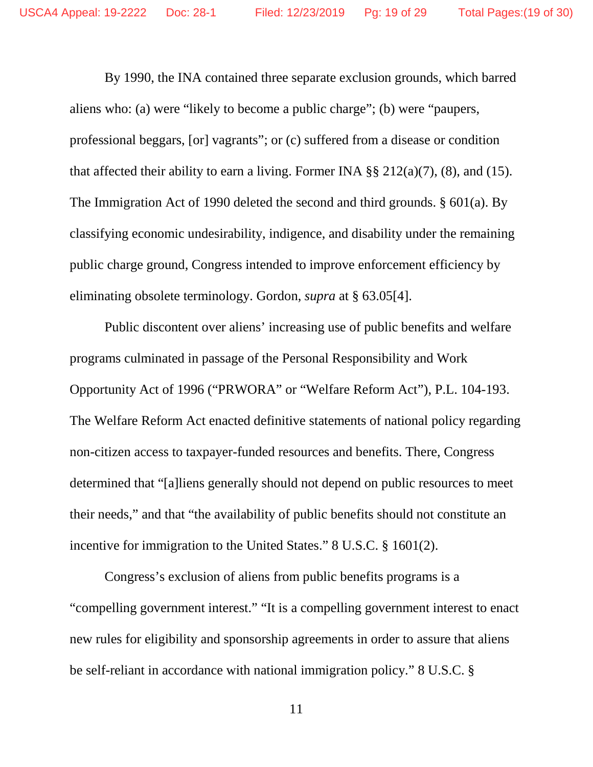By 1990, the INA contained three separate exclusion grounds, which barred aliens who: (a) were "likely to become a public charge"; (b) were "paupers, professional beggars, [or] vagrants"; or (c) suffered from a disease or condition that affected their ability to earn a living. Former INA  $\S$ § 212(a)(7), (8), and (15). The Immigration Act of 1990 deleted the second and third grounds. § 601(a). By classifying economic undesirability, indigence, and disability under the remaining public charge ground, Congress intended to improve enforcement efficiency by eliminating obsolete terminology. Gordon, *supra* at § 63.05[4].

Public discontent over aliens' increasing use of public benefits and welfare programs culminated in passage of the Personal Responsibility and Work Opportunity Act of 1996 ("PRWORA" or "Welfare Reform Act"), P.L. 104-193. The Welfare Reform Act enacted definitive statements of national policy regarding non-citizen access to taxpayer-funded resources and benefits. There, Congress determined that "[a]liens generally should not depend on public resources to meet their needs," and that "the availability of public benefits should not constitute an incentive for immigration to the United States." 8 U.S.C. § 1601(2).

Congress's exclusion of aliens from public benefits programs is a "compelling government interest." "It is a compelling government interest to enact new rules for eligibility and sponsorship agreements in order to assure that aliens be self-reliant in accordance with national immigration policy." 8 U.S.C. §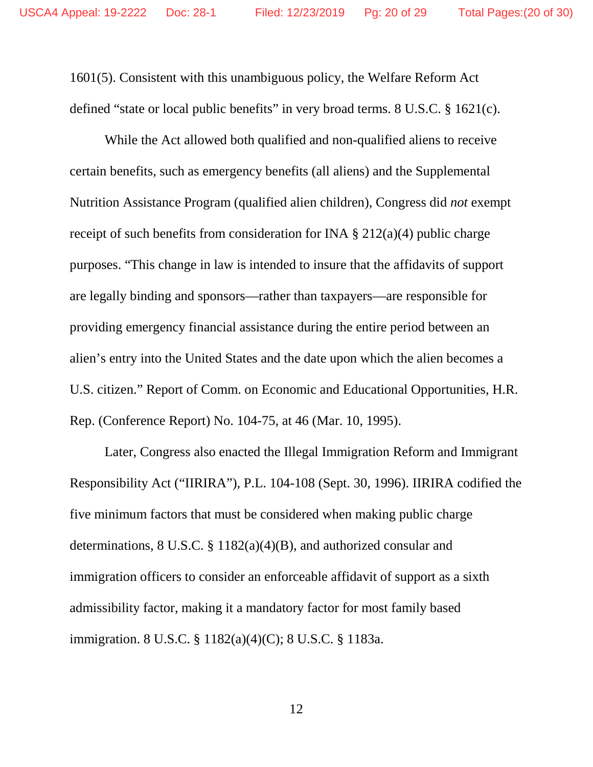1601(5). Consistent with this unambiguous policy, the Welfare Reform Act defined "state or local public benefits" in very broad terms. 8 U.S.C. § 1621(c).

While the Act allowed both qualified and non-qualified aliens to receive certain benefits, such as emergency benefits (all aliens) and the Supplemental Nutrition Assistance Program (qualified alien children), Congress did *not* exempt receipt of such benefits from consideration for INA  $\S 212(a)(4)$  public charge purposes. "This change in law is intended to insure that the affidavits of support are legally binding and sponsors—rather than taxpayers—are responsible for providing emergency financial assistance during the entire period between an alien's entry into the United States and the date upon which the alien becomes a U.S. citizen." Report of Comm. on Economic and Educational Opportunities, H.R. Rep. (Conference Report) No. 104-75, at 46 (Mar. 10, 1995).

Later, Congress also enacted the Illegal Immigration Reform and Immigrant Responsibility Act ("IIRIRA"), P.L. 104-108 (Sept. 30, 1996). IIRIRA codified the five minimum factors that must be considered when making public charge determinations, 8 U.S.C. § 1182(a)(4)(B), and authorized consular and immigration officers to consider an enforceable affidavit of support as a sixth admissibility factor, making it a mandatory factor for most family based immigration. 8 U.S.C. § 1182(a)(4)(C); 8 U.S.C. § 1183a.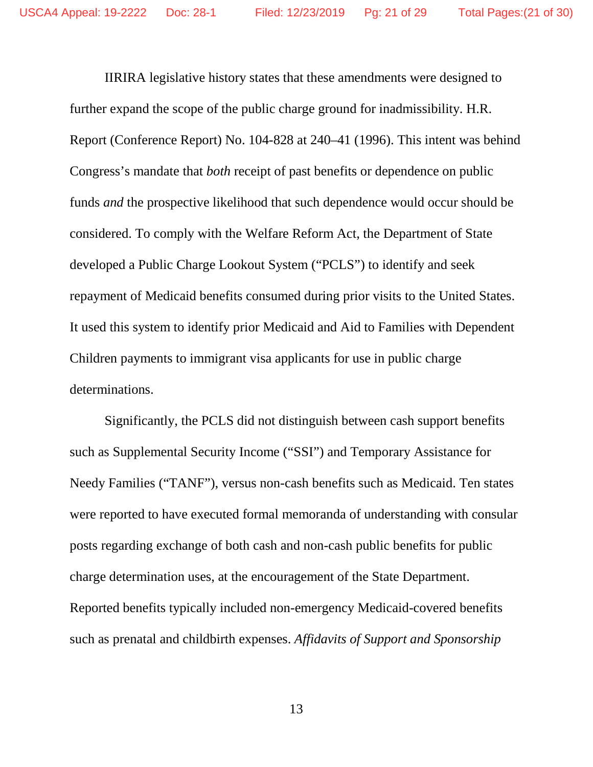IIRIRA legislative history states that these amendments were designed to further expand the scope of the public charge ground for inadmissibility. H.R. Report (Conference Report) No. 104-828 at 240–41 (1996). This intent was behind Congress's mandate that *both* receipt of past benefits or dependence on public funds *and* the prospective likelihood that such dependence would occur should be considered. To comply with the Welfare Reform Act, the Department of State developed a Public Charge Lookout System ("PCLS") to identify and seek repayment of Medicaid benefits consumed during prior visits to the United States. It used this system to identify prior Medicaid and Aid to Families with Dependent Children payments to immigrant visa applicants for use in public charge determinations.

Significantly, the PCLS did not distinguish between cash support benefits such as Supplemental Security Income ("SSI") and Temporary Assistance for Needy Families ("TANF"), versus non-cash benefits such as Medicaid. Ten states were reported to have executed formal memoranda of understanding with consular posts regarding exchange of both cash and non-cash public benefits for public charge determination uses, at the encouragement of the State Department. Reported benefits typically included non-emergency Medicaid-covered benefits such as prenatal and childbirth expenses. *Affidavits of Support and Sponsorship*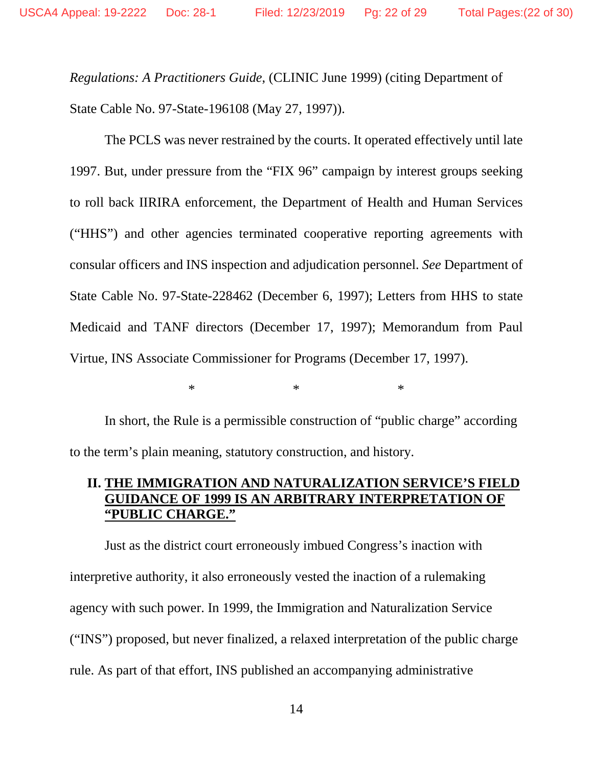*Regulations: A Practitioners Guide*, (CLINIC June 1999) (citing Department of State Cable No. 97-State-196108 (May 27, 1997)).

The PCLS was never restrained by the courts. It operated effectively until late 1997. But, under pressure from the "FIX 96" campaign by interest groups seeking to roll back IIRIRA enforcement, the Department of Health and Human Services ("HHS") and other agencies terminated cooperative reporting agreements with consular officers and INS inspection and adjudication personnel. *See* Department of State Cable No. 97-State-228462 (December 6, 1997); Letters from HHS to state Medicaid and TANF directors (December 17, 1997); Memorandum from Paul Virtue, INS Associate Commissioner for Programs (December 17, 1997).

 $*$  \* \* \*

In short, the Rule is a permissible construction of "public charge" according to the term's plain meaning, statutory construction, and history.

### **II. THE IMMIGRATION AND NATURALIZATION SERVICE'S FIELD GUIDANCE OF 1999 IS AN ARBITRARY INTERPRETATION OF "PUBLIC CHARGE."**

Just as the district court erroneously imbued Congress's inaction with interpretive authority, it also erroneously vested the inaction of a rulemaking agency with such power. In 1999, the Immigration and Naturalization Service ("INS") proposed, but never finalized, a relaxed interpretation of the public charge rule. As part of that effort, INS published an accompanying administrative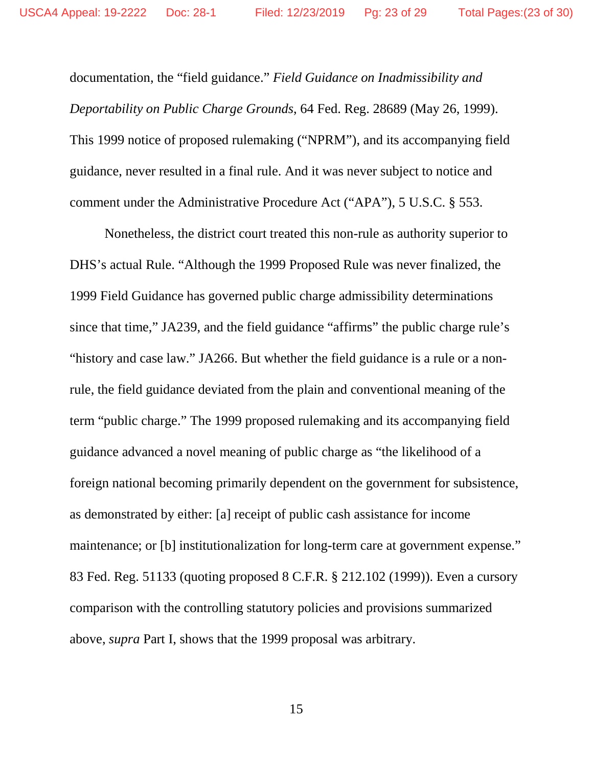documentation, the "field guidance." *Field Guidance on Inadmissibility and Deportability on Public Charge Grounds*, 64 Fed. Reg. 28689 (May 26, 1999). This 1999 notice of proposed rulemaking ("NPRM"), and its accompanying field guidance, never resulted in a final rule. And it was never subject to notice and comment under the Administrative Procedure Act ("APA"), 5 U.S.C. § 553.

Nonetheless, the district court treated this non-rule as authority superior to DHS's actual Rule. "Although the 1999 Proposed Rule was never finalized, the 1999 Field Guidance has governed public charge admissibility determinations since that time," JA239, and the field guidance "affirms" the public charge rule's "history and case law." JA266. But whether the field guidance is a rule or a nonrule, the field guidance deviated from the plain and conventional meaning of the term "public charge." The 1999 proposed rulemaking and its accompanying field guidance advanced a novel meaning of public charge as "the likelihood of a foreign national becoming primarily dependent on the government for subsistence, as demonstrated by either: [a] receipt of public cash assistance for income maintenance; or [b] institutionalization for long-term care at government expense." 83 Fed. Reg. 51133 (quoting proposed 8 C.F.R. § 212.102 (1999)). Even a cursory comparison with the controlling statutory policies and provisions summarized above, *supra* Part I, shows that the 1999 proposal was arbitrary.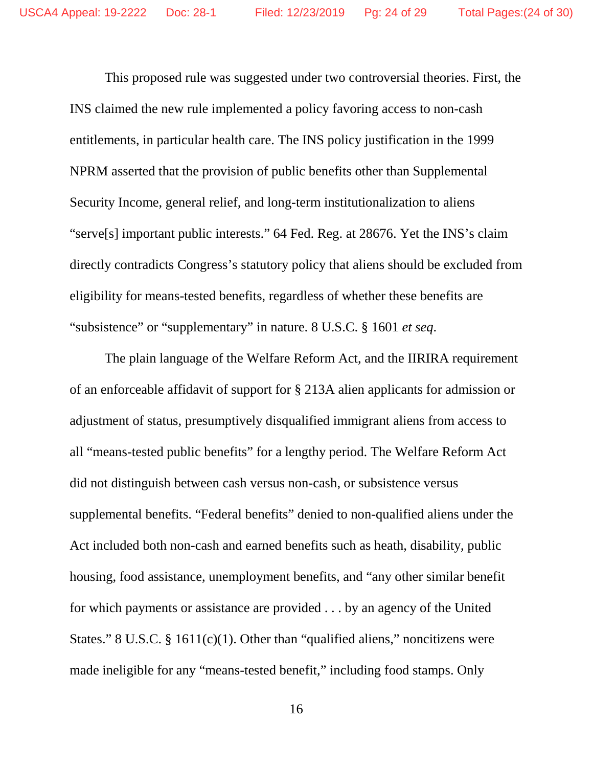This proposed rule was suggested under two controversial theories. First, the INS claimed the new rule implemented a policy favoring access to non-cash entitlements, in particular health care. The INS policy justification in the 1999 NPRM asserted that the provision of public benefits other than Supplemental Security Income, general relief, and long-term institutionalization to aliens "serve[s] important public interests." 64 Fed. Reg. at 28676. Yet the INS's claim directly contradicts Congress's statutory policy that aliens should be excluded from eligibility for means-tested benefits, regardless of whether these benefits are "subsistence" or "supplementary" in nature. 8 U.S.C. § 1601 *et seq*.

The plain language of the Welfare Reform Act, and the IIRIRA requirement of an enforceable affidavit of support for § 213A alien applicants for admission or adjustment of status, presumptively disqualified immigrant aliens from access to all "means-tested public benefits" for a lengthy period. The Welfare Reform Act did not distinguish between cash versus non-cash, or subsistence versus supplemental benefits. "Federal benefits" denied to non-qualified aliens under the Act included both non-cash and earned benefits such as heath, disability, public housing, food assistance, unemployment benefits, and "any other similar benefit for which payments or assistance are provided . . . by an agency of the United States." 8 U.S.C.  $\S$  1611(c)(1). Other than "qualified aliens," noncitizens were made ineligible for any "means-tested benefit," including food stamps. Only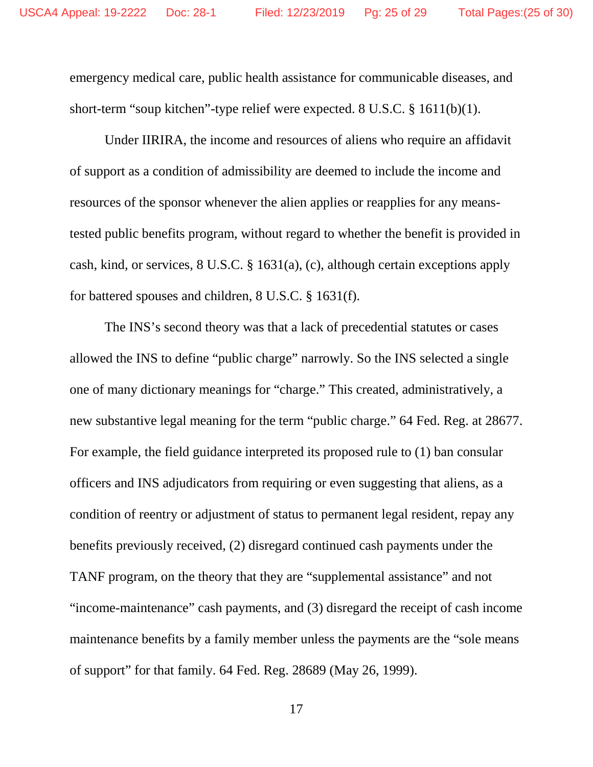emergency medical care, public health assistance for communicable diseases, and short-term "soup kitchen"-type relief were expected. 8 U.S.C. § 1611(b)(1).

Under IIRIRA, the income and resources of aliens who require an affidavit of support as a condition of admissibility are deemed to include the income and resources of the sponsor whenever the alien applies or reapplies for any meanstested public benefits program, without regard to whether the benefit is provided in cash, kind, or services, 8 U.S.C. § 1631(a), (c), although certain exceptions apply for battered spouses and children, 8 U.S.C. § 1631(f).

The INS's second theory was that a lack of precedential statutes or cases allowed the INS to define "public charge" narrowly. So the INS selected a single one of many dictionary meanings for "charge." This created, administratively, a new substantive legal meaning for the term "public charge." 64 Fed. Reg. at 28677. For example, the field guidance interpreted its proposed rule to (1) ban consular officers and INS adjudicators from requiring or even suggesting that aliens, as a condition of reentry or adjustment of status to permanent legal resident, repay any benefits previously received, (2) disregard continued cash payments under the TANF program, on the theory that they are "supplemental assistance" and not "income-maintenance" cash payments, and (3) disregard the receipt of cash income maintenance benefits by a family member unless the payments are the "sole means of support" for that family. 64 Fed. Reg. 28689 (May 26, 1999).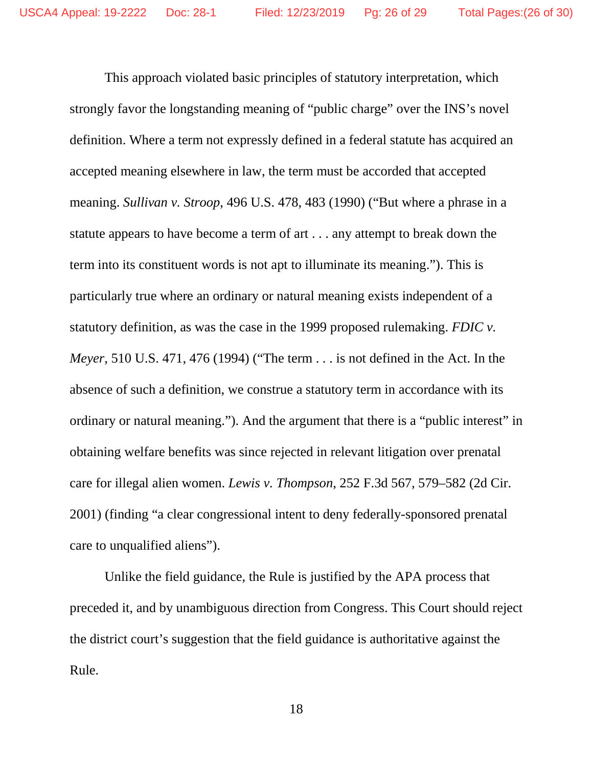This approach violated basic principles of statutory interpretation, which strongly favor the longstanding meaning of "public charge" over the INS's novel definition. Where a term not expressly defined in a federal statute has acquired an accepted meaning elsewhere in law, the term must be accorded that accepted meaning. *Sullivan v. Stroop*, 496 U.S. 478, 483 (1990) ("But where a phrase in a statute appears to have become a term of art . . . any attempt to break down the term into its constituent words is not apt to illuminate its meaning."). This is particularly true where an ordinary or natural meaning exists independent of a statutory definition, as was the case in the 1999 proposed rulemaking. *FDIC v. Meyer*, 510 U.S. 471, 476 (1994) ("The term . . . is not defined in the Act. In the absence of such a definition, we construe a statutory term in accordance with its ordinary or natural meaning."). And the argument that there is a "public interest" in obtaining welfare benefits was since rejected in relevant litigation over prenatal care for illegal alien women. *Lewis v. Thompson*, 252 F.3d 567, 579–582 (2d Cir. 2001) (finding "a clear congressional intent to deny federally-sponsored prenatal care to unqualified aliens").

Unlike the field guidance, the Rule is justified by the APA process that preceded it, and by unambiguous direction from Congress. This Court should reject the district court's suggestion that the field guidance is authoritative against the Rule.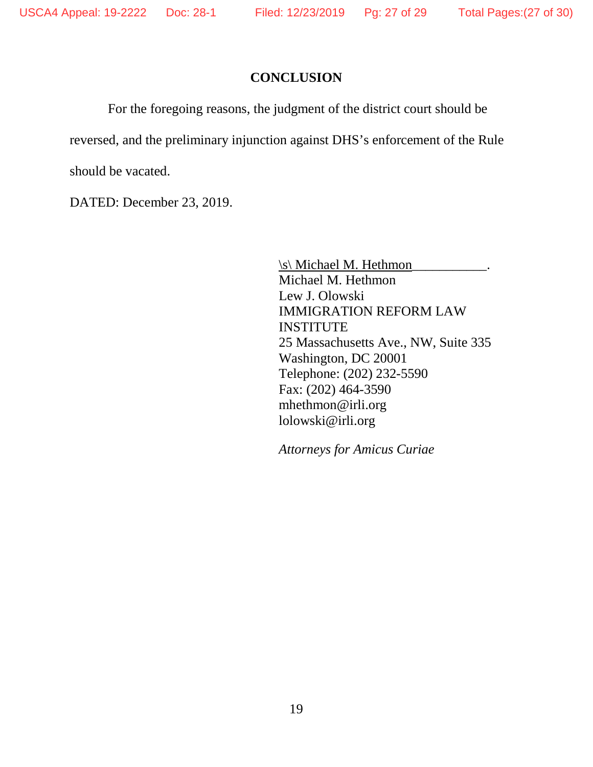#### **CONCLUSION**

For the foregoing reasons, the judgment of the district court should be

reversed, and the preliminary injunction against DHS's enforcement of the Rule

should be vacated.

DATED: December 23, 2019.

\s\ Michael M. Hethmon Michael M. Hethmon Lew J. Olowski IMMIGRATION REFORM LAW INSTITUTE 25 Massachusetts Ave., NW, Suite 335 Washington, DC 20001 Telephone: (202) 232-5590 Fax: (202) 464-3590 mhethmon@irli.org lolowski@irli.org

*Attorneys for Amicus Curiae*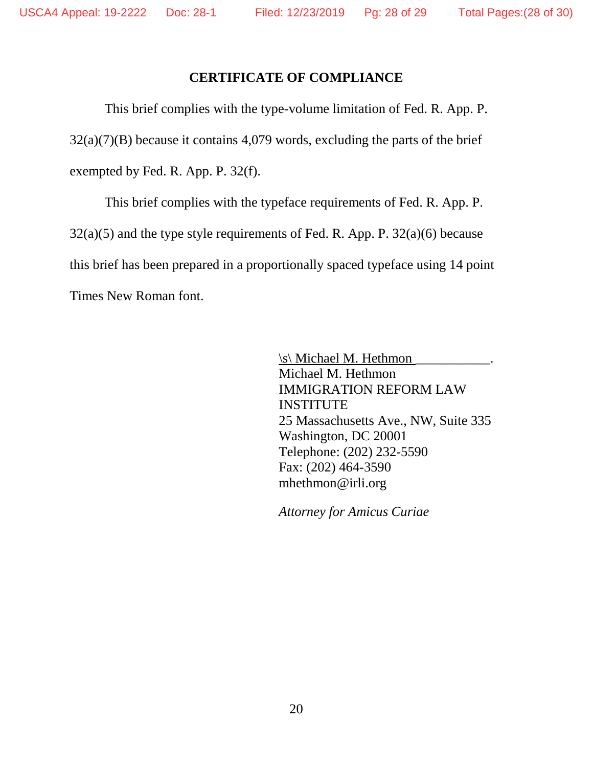#### **CERTIFICATE OF COMPLIANCE**

This brief complies with the type-volume limitation of Fed. R. App. P.  $32(a)(7)(B)$  because it contains 4,079 words, excluding the parts of the brief exempted by Fed. R. App. P. 32(f).

This brief complies with the typeface requirements of Fed. R. App. P. 32(a)(5) and the type style requirements of Fed. R. App. P. 32(a)(6) because this brief has been prepared in a proportionally spaced typeface using 14 point Times New Roman font.

> $\s\$  Michael M. Hethmon Michael M. Hethmon IMMIGRATION REFORM LAW **INSTITUTE** 25 Massachusetts Ave., NW, Suite 335 Washington, DC 20001 Telephone: (202) 232-5590 Fax: (202) 464-3590 mhethmon@irli.org

*Attorney for Amicus Curiae*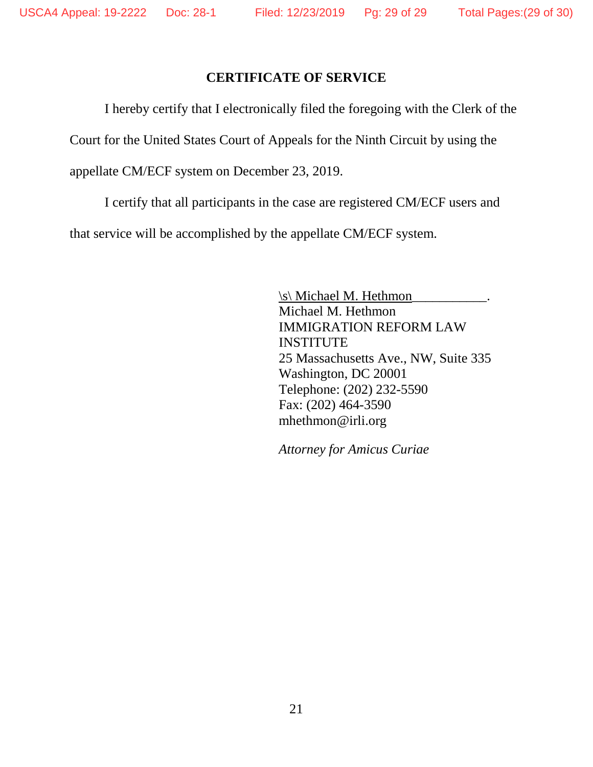### **CERTIFICATE OF SERVICE**

<span id="page-28-0"></span>I hereby certify that I electronically filed the foregoing with the Clerk of the

Court for the United States Court of Appeals for the Ninth Circuit by using the

appellate CM/ECF system on December 23, 2019.

I certify that all participants in the case are registered CM/ECF users and

that service will be accomplished by the appellate CM/ECF system.

\s\ Michael M. Hethmon\_\_\_\_\_\_\_\_\_\_\_. Michael M. Hethmon IMMIGRATION REFORM LAW **INSTITUTE** 25 Massachusetts Ave., NW, Suite 335 Washington, DC 20001 Telephone: (202) 232-5590 Fax: (202) 464-3590 mhethmon@irli.org

*Attorney for Amicus Curiae*